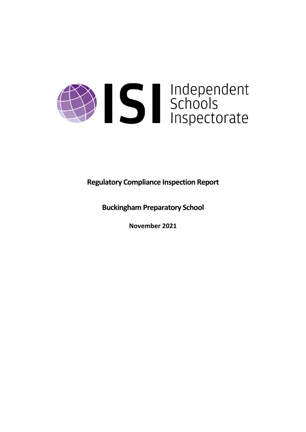

**Regulatory Compliance Inspection Report**

**Buckingham Preparatory School**

**November 2021**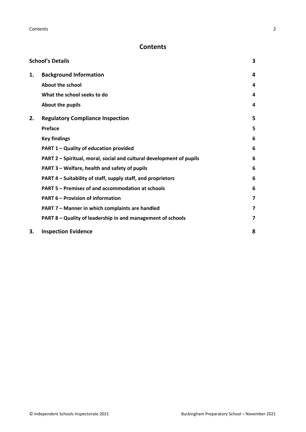# **Contents**

| <b>School's Details</b> |                                                                      | 3 |
|-------------------------|----------------------------------------------------------------------|---|
| 1.                      | <b>Background Information</b>                                        | 4 |
|                         | <b>About the school</b>                                              | 4 |
|                         | What the school seeks to do                                          | 4 |
|                         | About the pupils                                                     | 4 |
| 2.                      | <b>Regulatory Compliance Inspection</b>                              | 5 |
|                         | <b>Preface</b>                                                       | 5 |
|                         | <b>Key findings</b>                                                  | 6 |
|                         | PART 1 - Quality of education provided                               | 6 |
|                         | PART 2 - Spiritual, moral, social and cultural development of pupils | 6 |
|                         | PART 3 - Welfare, health and safety of pupils                        | 6 |
|                         | PART 4 – Suitability of staff, supply staff, and proprietors         | 6 |
|                         | PART 5 - Premises of and accommodation at schools                    | 6 |
|                         | <b>PART 6 - Provision of information</b>                             | 7 |
|                         | PART 7 - Manner in which complaints are handled                      | 7 |
|                         | PART 8 - Quality of leadership in and management of schools          | 7 |
| 3.                      | <b>Inspection Evidence</b>                                           | 8 |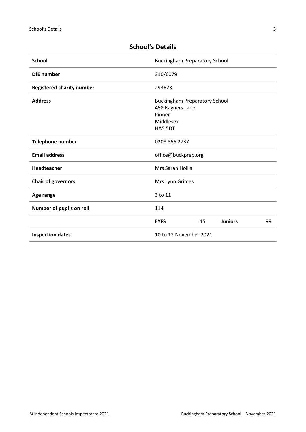| <b>School</b>                    | <b>Buckingham Preparatory School</b>                                                       |
|----------------------------------|--------------------------------------------------------------------------------------------|
| <b>DfE</b> number                | 310/6079                                                                                   |
| <b>Registered charity number</b> | 293623                                                                                     |
| <b>Address</b>                   | <b>Buckingham Preparatory School</b><br>458 Rayners Lane<br>Pinner<br>Middlesex<br>HA5 5DT |
| Telephone number                 | 0208 866 2737                                                                              |
| <b>Email address</b>             | office@buckprep.org                                                                        |
| Headteacher                      | <b>Mrs Sarah Hollis</b>                                                                    |
| <b>Chair of governors</b>        | Mrs Lynn Grimes                                                                            |
| Age range                        | 3 to 11                                                                                    |
| Number of pupils on roll         | 114                                                                                        |
|                                  | <b>EYFS</b><br>15<br><b>Juniors</b><br>99                                                  |
| <b>Inspection dates</b>          | 10 to 12 November 2021                                                                     |

# <span id="page-2-0"></span>**School's Details**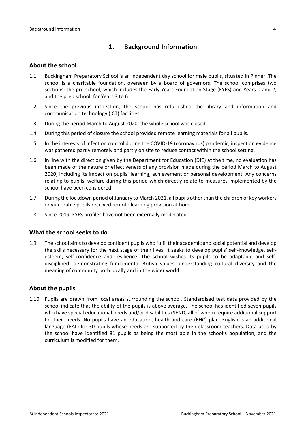# <span id="page-3-0"></span>**1. Background Information**

#### <span id="page-3-1"></span>**About the school**

- 1.1 Buckingham Preparatory School is an independent day school for male pupils, situated in Pinner. The school is a charitable foundation, overseen by a board of governors. The school comprises two sections: the pre-school, which includes the Early Years Foundation Stage (EYFS) and Years 1 and 2; and the prep school, for Years 3 to 6.
- 1.2 Since the previous inspection, the school has refurbished the library and information and communication technology (ICT) facilities.
- 1.3 During the period March to August 2020, the whole school was closed.
- 1.4 During this period of closure the school provided remote learning materials for all pupils.
- 1.5 In the interests of infection control during the COVID-19 (coronavirus) pandemic, inspection evidence was gathered partly remotely and partly on site to reduce contact within the school setting.
- 1.6 In line with the direction given by the Department for Education (DfE) at the time, no evaluation has been made of the nature or effectiveness of any provision made during the period March to August 2020, including its impact on pupils' learning, achievement or personal development. Any concerns relating to pupils' welfare during this period which directly relate to measures implemented by the school have been considered.
- 1.7 During the lockdown period of January to March 2021, all pupils other than the children of key workers or vulnerable pupils received remote learning provision at home.
- 1.8 Since 2019, EYFS profiles have not been externally moderated.

### <span id="page-3-2"></span>**What the school seeks to do**

1.9 The school aimsto develop confident pupils who fulfil their academic and social potential and develop the skills necessary for the next stage of their lives. It seeks to develop pupils' self-knowledge, selfesteem, self-confidence and resilience. The school wishes its pupils to be adaptable and selfdisciplined; demonstrating fundamental British values, understanding cultural diversity and the meaning of community both locally and in the wider world.

#### <span id="page-3-3"></span>**About the pupils**

1.10 Pupils are drawn from local areas surrounding the school. Standardised test data provided by the school indicate that the ability of the pupils is above average. The school has identified seven pupils who have special educational needs and/or disabilities (SEND, all of whom require additional support for their needs. No pupils have an education, health and care (EHC) plan. English is an additional language (EAL) for 30 pupils whose needs are supported by their classroom teachers. Data used by the school have identified 81 pupils as being the most able in the school's population, and the curriculum is modified for them.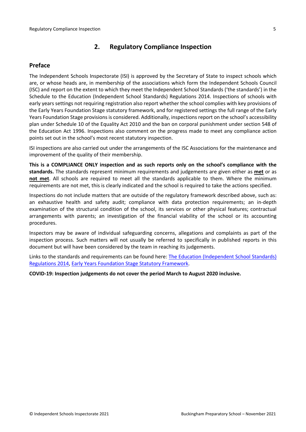# <span id="page-4-0"></span>**2. Regulatory Compliance Inspection**

### <span id="page-4-1"></span>**Preface**

The Independent Schools Inspectorate (ISI) is approved by the Secretary of State to inspect schools which are, or whose heads are, in membership of the associations which form the Independent Schools Council (ISC) and report on the extent to which they meet the Independent School Standards ('the standards') in the Schedule to the Education (Independent School Standards) Regulations 2014. Inspections of schools with early years settings not requiring registration also report whether the school complies with key provisions of the Early Years Foundation Stage statutory framework, and for registered settings the full range of the Early Years Foundation Stage provisions is considered. Additionally, inspections report on the school's accessibility plan under Schedule 10 of the Equality Act 2010 and the ban on corporal punishment under section 548 of the Education Act 1996. Inspections also comment on the progress made to meet any compliance action points set out in the school's most recent statutory inspection.

ISI inspections are also carried out under the arrangements of the ISC Associations for the maintenance and improvement of the quality of their membership.

**This is a COMPLIANCE ONLY inspection and as such reports only on the school's compliance with the standards.** The standards represent minimum requirements and judgements are given either as **met** or as **not met**. All schools are required to meet all the standards applicable to them. Where the minimum requirements are not met, this is clearly indicated and the school is required to take the actions specified.

Inspections do not include matters that are outside of the regulatory framework described above, such as: an exhaustive health and safety audit; compliance with data protection requirements; an in-depth examination of the structural condition of the school, its services or other physical features; contractual arrangements with parents; an investigation of the financial viability of the school or its accounting procedures.

Inspectors may be aware of individual safeguarding concerns, allegations and complaints as part of the inspection process. Such matters will not usually be referred to specifically in published reports in this document but will have been considered by the team in reaching its judgements.

Links to the standards and requirements can be found here: The Education [\(Independent](http://www.legislation.gov.uk/uksi/2014/3283/contents/made) School Standards) [Regulations](http://www.legislation.gov.uk/uksi/2014/3283/contents/made) 2014, Early Years Foundation Stage Statutory [Framework.](https://www.gov.uk/government/publications/early-years-foundation-stage-framework--2)

**COVID-19: Inspection judgements do not cover the period March to August 2020 inclusive.**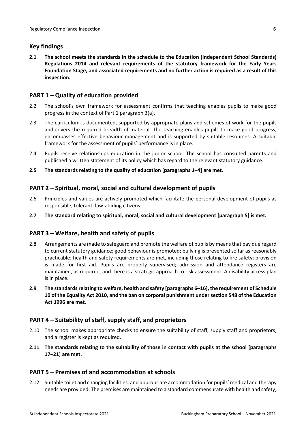### <span id="page-5-0"></span>**Key findings**

**2.1 The school meets the standards in the schedule to the Education (Independent School Standards) Regulations 2014 and relevant requirements of the statutory framework for the Early Years Foundation Stage, and associated requirements and no further action is required as a result of this inspection.**

### <span id="page-5-1"></span>**PART 1 – Quality of education provided**

- 2.2 The school's own framework for assessment confirms that teaching enables pupils to make good progress in the context of Part 1 paragraph 3(a).
- 2.3 The curriculum is documented, supported by appropriate plans and schemes of work for the pupils and covers the required breadth of material. The teaching enables pupils to make good progress, encompasses effective behaviour management and is supported by suitable resources. A suitable framework for the assessment of pupils' performance is in place.
- 2.4 Pupils receive relationships education in the junior school. The school has consulted parents and published a written statement of its policy which has regard to the relevant statutory guidance.
- **2.5 The standards relating to the quality of education [paragraphs 1–4] are met.**

### <span id="page-5-2"></span>**PART 2 – Spiritual, moral, social and cultural development of pupils**

- 2.6 Principles and values are actively promoted which facilitate the personal development of pupils as responsible, tolerant, law-abiding citizens.
- **2.7 The standard relating to spiritual, moral, social and cultural development [paragraph 5] is met.**

### <span id="page-5-3"></span>**PART 3 – Welfare, health and safety of pupils**

- 2.8 Arrangements are made to safeguard and promote the welfare of pupils by means that pay due regard to current statutory guidance; good behaviour is promoted; bullying is prevented so far as reasonably practicable; health and safety requirements are met, including those relating to fire safety; provision is made for first aid. Pupils are properly supervised; admission and attendance registers are maintained, as required, and there is a strategic approach to risk assessment. A disability access plan is in place.
- **2.9 The standardsrelating to welfare, health and safety [paragraphs 6–16], the requirement of Schedule 10 of the Equality Act 2010, and the ban on corporal punishment undersection 548 of the Education Act 1996 are met.**

### <span id="page-5-4"></span>**PART 4 – Suitability of staff, supply staff, and proprietors**

- 2.10 The school makes appropriate checks to ensure the suitability of staff, supply staff and proprietors, and a register is kept as required.
- **2.11 The standards relating to the suitability of those in contact with pupils at the school [paragraphs 17–21] are met.**

### <span id="page-5-5"></span>**PART 5 – Premises of and accommodation at schools**

2.12 Suitable toilet and changing facilities, and appropriate accommodation for pupils' medical and therapy needs are provided. The premises are maintained to a standard commensurate with health and safety;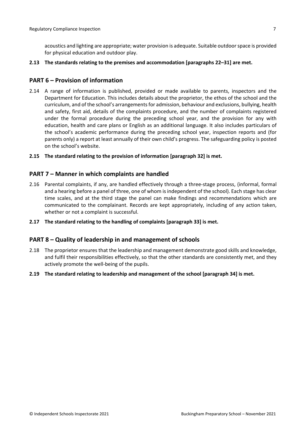acoustics and lighting are appropriate; water provision is adequate. Suitable outdoorspace is provided for physical education and outdoor play.

#### **2.13 The standards relating to the premises and accommodation [paragraphs 22–31] are met.**

#### <span id="page-6-0"></span>**PART 6 – Provision of information**

- 2.14 A range of information is published, provided or made available to parents, inspectors and the Department for Education. This includes details about the proprietor, the ethos of the school and the curriculum, and of the school's arrangementsfor admission, behaviour and exclusions, bullying, health and safety, first aid, details of the complaints procedure, and the number of complaints registered under the formal procedure during the preceding school year, and the provision for any with education, health and care plans or English as an additional language. It also includes particulars of the school's academic performance during the preceding school year, inspection reports and (for parents only) a report at least annually of their own child's progress. The safeguarding policy is posted on the school's website.
- **2.15 The standard relating to the provision of information [paragraph 32] is met.**

#### <span id="page-6-1"></span>**PART 7 – Manner in which complaints are handled**

- 2.16 Parental complaints, if any, are handled effectively through a three-stage process, (informal, formal and a hearing before a panel of three, one of whom isindependent of the school). Each stage has clear time scales, and at the third stage the panel can make findings and recommendations which are communicated to the complainant. Records are kept appropriately, including of any action taken, whether or not a complaint is successful.
- **2.17 The standard relating to the handling of complaints [paragraph 33] is met.**

#### <span id="page-6-2"></span>**PART 8 – Quality of leadership in and management of schools**

- 2.18 The proprietor ensures that the leadership and management demonstrate good skills and knowledge, and fulfil their responsibilities effectively, so that the other standards are consistently met, and they actively promote the well-being of the pupils.
- **2.19 The standard relating to leadership and management of the school [paragraph 34] is met.**